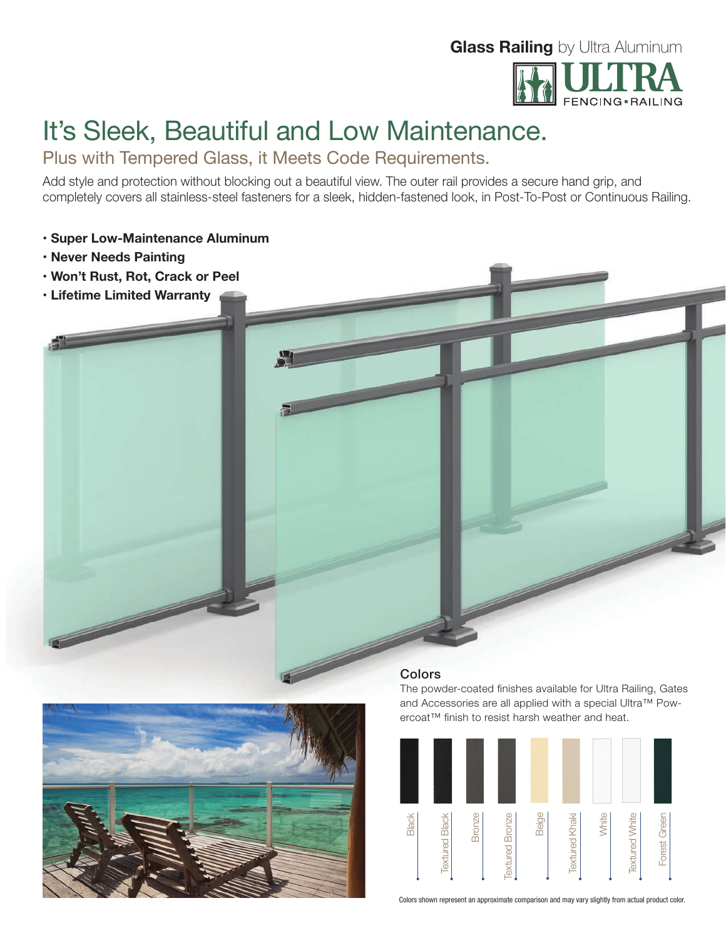# **Glass Railing** by Ultra Aluminum



# It's Sleek, Beautiful and Low Maintenance.

Plus with Tempered Glass, it Meets Code Requirements.

Add style and protection without blocking out a beautiful view. The outer rail provides a secure hand grip, and completely covers all stainless-steel fasteners for a sleek, hidden-fastened look, in Post-To-Post or Continuous Railing.

## **• Super Low-Maintenance Aluminum**

- **Never Needs Painting**
- **Won't Rust, Rot, Crack or Peel**
- **Lifetime Limited Warranty**



The powder-coated finishes available for Ultra Railing, Gates and Accessories are all applied with a special Ultra™ Powercoat™ finish to resist harsh weather and heat.